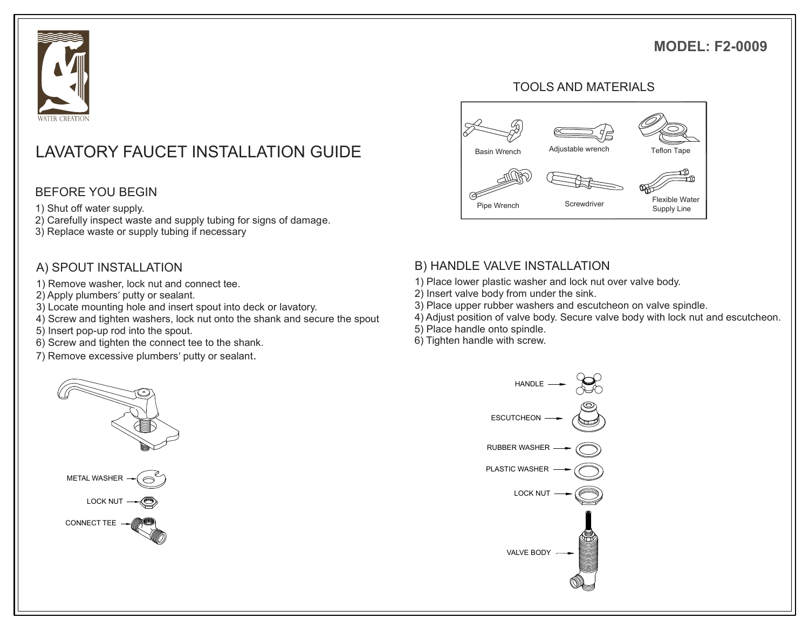## **MODEL: F2-0009**



# LAVATORY FAUCET INSTALLATION GUIDE **Basin Wrench** Adjustable wrench Teflon Tape

#### BEFORE YOU BEGIN

- 1) Shut off water supply.
- 2) Carefully inspect waste and supply tubing for signs of damage.
- 3) Replace waste or supply tubing if necessary

#### A) SPOUT INSTALLATION

- 1) Remove washer, lock nut and connect tee.
- 2) Apply plumbers' putty or sealant.
- 3) Locate mounting hole and insert spout into deck or lavatory.
- 4) Screw and tighten washers, lock nut onto the shank and secure the spout
- 5) Insert pop-up rod into the spout.
- 6) Screw and tighten the connect tee to the shank.
- 7) Remove excessive plumbers' putty or sealant.



#### TOOLS AND MATERIALS



#### B) HANDLE VALVE INSTALLATION

- 1) Place lower plastic washer and lock nut over valve body.
- 2) Insert valve body from under the sink.
- 3) Place upper rubber washers and escutcheon on valve spindle.
- 4) Adjust position of valve body. Secure valve body with lock nut and escutcheon.
- 5) Place handle onto spindle.
- 6) Tighten handle with screw.